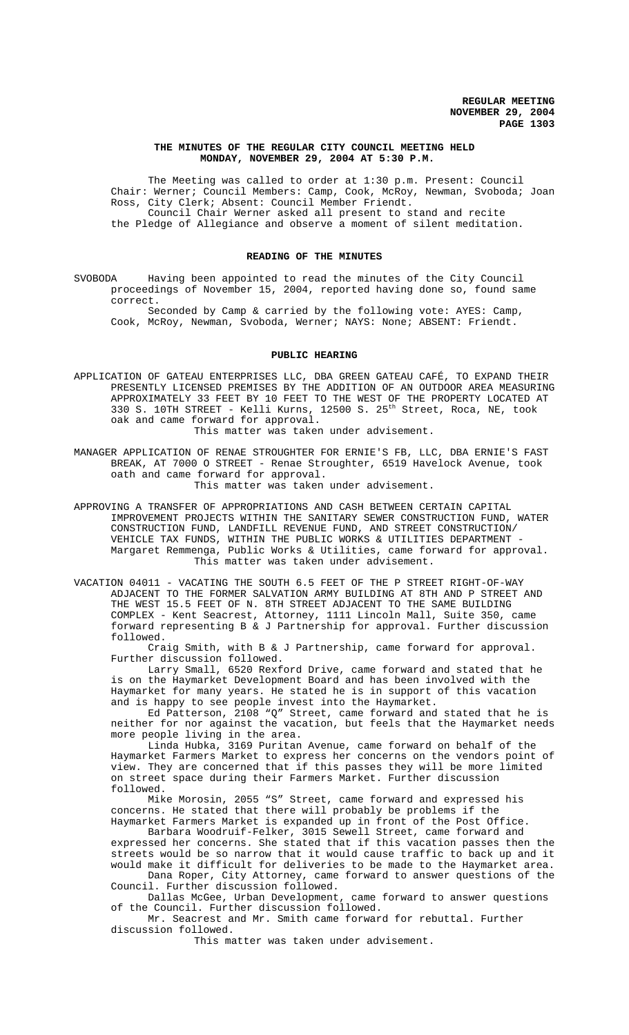### **THE MINUTES OF THE REGULAR CITY COUNCIL MEETING HELD MONDAY, NOVEMBER 29, 2004 AT 5:30 P.M.**

The Meeting was called to order at 1:30 p.m. Present: Council Chair: Werner; Council Members: Camp, Cook, McRoy, Newman, Svoboda; Joan Ross, City Clerk; Absent: Council Member Friendt. Council Chair Werner asked all present to stand and recite the Pledge of Allegiance and observe a moment of silent meditation.

#### **READING OF THE MINUTES**

SVOBODA Having been appointed to read the minutes of the City Council proceedings of November 15, 2004, reported having done so, found same correct.

Seconded by Camp & carried by the following vote: AYES: Camp, Cook, McRoy, Newman, Svoboda, Werner; NAYS: None; ABSENT: Friendt.

### **PUBLIC HEARING**

APPLICATION OF GATEAU ENTERPRISES LLC, DBA GREEN GATEAU CAFÉ, TO EXPAND THEIR PRESENTLY LICENSED PREMISES BY THE ADDITION OF AN OUTDOOR AREA MEASURING APPROXIMATELY 33 FEET BY 10 FEET TO THE WEST OF THE PROPERTY LOCATED AT 330 S. 10TH STREET - Kelli Kurns, 12500 S. 25<sup>th</sup> Street, Roca, NE, took oak and came forward for approval.

This matter was taken under advisement.

MANAGER APPLICATION OF RENAE STROUGHTER FOR ERNIE'S FB, LLC, DBA ERNIE'S FAST BREAK, AT 7000 O STREET - Renae Stroughter, 6519 Havelock Avenue, took oath and came forward for approval.

This matter was taken under advisement.

APPROVING A TRANSFER OF APPROPRIATIONS AND CASH BETWEEN CERTAIN CAPITAL IMPROVEMENT PROJECTS WITHIN THE SANITARY SEWER CONSTRUCTION FUND, WATER CONSTRUCTION FUND, LANDFILL REVENUE FUND, AND STREET CONSTRUCTION/ VEHICLE TAX FUNDS, WITHIN THE PUBLIC WORKS & UTILITIES DEPARTMENT - Margaret Remmenga, Public Works & Utilities, came forward for approval. This matter was taken under advisement.

VACATION 04011 - VACATING THE SOUTH 6.5 FEET OF THE P STREET RIGHT-OF-WAY ADJACENT TO THE FORMER SALVATION ARMY BUILDING AT 8TH AND P STREET AND THE WEST 15.5 FEET OF N. 8TH STREET ADJACENT TO THE SAME BUILDING COMPLEX - Kent Seacrest, Attorney, 1111 Lincoln Mall, Suite 350, came forward representing B & J Partnership for approval. Further discussion followed.

Craig Smith, with B & J Partnership, came forward for approval. Further discussion followed.

Larry Small, 6520 Rexford Drive, came forward and stated that he is on the Haymarket Development Board and has been involved with the Haymarket for many years. He stated he is in support of this vacation and is happy to see people invest into the Haymarket.

Ed Patterson, 2108 "Q" Street, came forward and stated that he is neither for nor against the vacation, but feels that the Haymarket needs more people living in the area.

Linda Hubka, 3169 Puritan Avenue, came forward on behalf of the Haymarket Farmers Market to express her concerns on the vendors point of view. They are concerned that if this passes they will be more limited on street space during their Farmers Market. Further discussion followed.

Mike Morosin, 2055 "S" Street, came forward and expressed his concerns. He stated that there will probably be problems if the Haymarket Farmers Market is expanded up in front of the Post Office.

Barbara Woodruif-Felker, 3015 Sewell Street, came forward and expressed her concerns. She stated that if this vacation passes then the streets would be so narrow that it would cause traffic to back up and it would make it difficult for deliveries to be made to the Haymarket area.

Dana Roper, City Attorney, came forward to answer questions of the Council. Further discussion followed.

Dallas McGee, Urban Development, came forward to answer questions of the Council. Further discussion followed.

Mr. Seacrest and Mr. Smith came forward for rebuttal. Further discussion followed.

This matter was taken under advisement.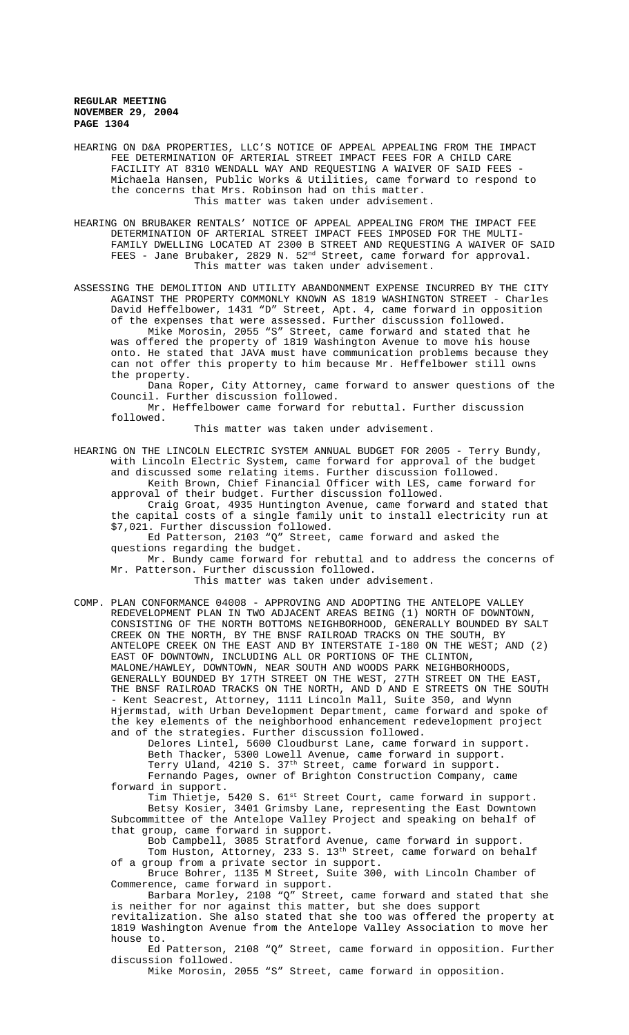HEARING ON D&A PROPERTIES, LLC'S NOTICE OF APPEAL APPEALING FROM THE IMPACT FEE DETERMINATION OF ARTERIAL STREET IMPACT FEES FOR A CHILD CARE FACILITY AT 8310 WENDALL WAY AND REQUESTING A WAIVER OF SAID FEES Michaela Hansen, Public Works & Utilities, came forward to respond to the concerns that Mrs. Robinson had on this matter. This matter was taken under advisement.

HEARING ON BRUBAKER RENTALS' NOTICE OF APPEAL APPEALING FROM THE IMPACT FEE DETERMINATION OF ARTERIAL STREET IMPACT FEES IMPOSED FOR THE MULTI-FAMILY DWELLING LOCATED AT 2300 B STREET AND REQUESTING A WAIVER OF SAID FEES - Jane Brubaker, 2829 N.  $52^{\text{nd}}$  Street, came forward for approval. This matter was taken under advisement.

ASSESSING THE DEMOLITION AND UTILITY ABANDONMENT EXPENSE INCURRED BY THE CITY AGAINST THE PROPERTY COMMONLY KNOWN AS 1819 WASHINGTON STREET - Charles David Heffelbower, 1431 "D" Street, Apt. 4, came forward in opposition of the expenses that were assessed. Further discussion followed. Mike Morosin, 2055 "S" Street, came forward and stated that he was offered the property of 1819 Washington Avenue to move his house onto. He stated that JAVA must have communication problems because they can not offer this property to him because Mr. Heffelbower still owns the property.

Dana Roper, City Attorney, came forward to answer questions of the Council. Further discussion followed.

Mr. Heffelbower came forward for rebuttal. Further discussion followed.

This matter was taken under advisement.

HEARING ON THE LINCOLN ELECTRIC SYSTEM ANNUAL BUDGET FOR 2005 - Terry Bundy, with Lincoln Electric System, came forward for approval of the budget and discussed some relating items. Further discussion followed.

Keith Brown, Chief Financial Officer with LES, came forward for approval of their budget. Further discussion followed.

Craig Groat, 4935 Huntington Avenue, came forward and stated that the capital costs of a single family unit to install electricity run at \$7,021. Further discussion followed.

Ed Patterson, 2103 "Q" Street, came forward and asked the questions regarding the budget.

Mr. Bundy came forward for rebuttal and to address the concerns of Mr. Patterson. Further discussion followed.

This matter was taken under advisement.

COMP. PLAN CONFORMANCE 04008 - APPROVING AND ADOPTING THE ANTELOPE VALLEY REDEVELOPMENT PLAN IN TWO ADJACENT AREAS BEING (1) NORTH OF DOWNTOWN, CONSISTING OF THE NORTH BOTTOMS NEIGHBORHOOD, GENERALLY BOUNDED BY SALT CREEK ON THE NORTH, BY THE BNSF RAILROAD TRACKS ON THE SOUTH, BY ANTELOPE CREEK ON THE EAST AND BY INTERSTATE I-180 ON THE WEST; AND (2) EAST OF DOWNTOWN, INCLUDING ALL OR PORTIONS OF THE CLINTON, MALONE/HAWLEY, DOWNTOWN, NEAR SOUTH AND WOODS PARK NEIGHBORHOODS, GENERALLY BOUNDED BY 17TH STREET ON THE WEST, 27TH STREET ON THE EAST, THE BNSF RAILROAD TRACKS ON THE NORTH, AND D AND E STREETS ON THE SOUTH - Kent Seacrest, Attorney, 1111 Lincoln Mall, Suite 350, and Wynn Hjermstad, with Urban Development Department, came forward and spoke of the key elements of the neighborhood enhancement redevelopment project and of the strategies. Further discussion followed.

Delores Lintel, 5600 Cloudburst Lane, came forward in support. Beth Thacker, 5300 Lowell Avenue, came forward in support. Terry Uland, 4210 S. 37th Street, came forward in support.

Fernando Pages, owner of Brighton Construction Company, came forward in support.

Tim Thietje, 5420 S. 61<sup>st</sup> Street Court, came forward in support. Betsy Kosier, 3401 Grimsby Lane, representing the East Downtown Subcommittee of the Antelope Valley Project and speaking on behalf of that group, came forward in support.

Bob Campbell, 3085 Stratford Avenue, came forward in support. Tom Huston, Attorney, 233 S. 13<sup>th</sup> Street, came forward on behalf of a group from a private sector in support.

Bruce Bohrer, 1135 M Street, Suite 300, with Lincoln Chamber of Commerence, came forward in support.

Barbara Morley, 2108 "Q" Street, came forward and stated that she is neither for nor against this matter, but she does support revitalization. She also stated that she too was offered the property at 1819 Washington Avenue from the Antelope Valley Association to move her

house to. Ed Patterson, 2108 "Q" Street, came forward in opposition. Further discussion followed.

Mike Morosin, 2055 "S" Street, came forward in opposition.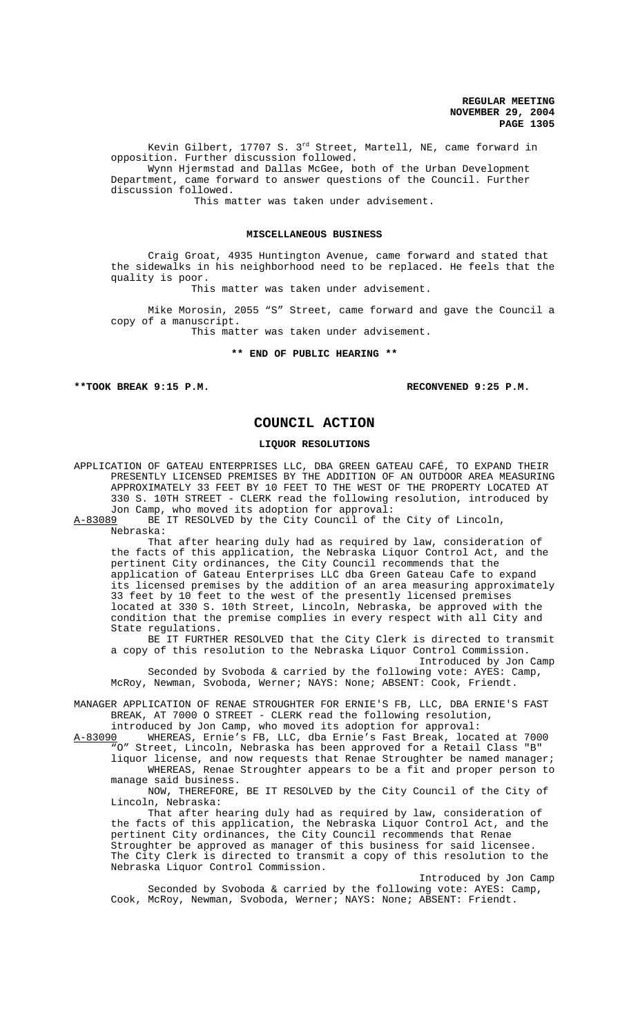Kevin Gilbert, 17707 S. 3rd Street, Martell, NE, came forward in opposition. Further discussion followed. Wynn Hjermstad and Dallas McGee, both of the Urban Development Department, came forward to answer questions of the Council. Further discussion followed.

This matter was taken under advisement.

### **MISCELLANEOUS BUSINESS**

Craig Groat, 4935 Huntington Avenue, came forward and stated that the sidewalks in his neighborhood need to be replaced. He feels that the quality is poor.

This matter was taken under advisement.

Mike Morosin, 2055 "S" Street, came forward and gave the Council a copy of a manuscript.

This matter was taken under advisement.

**\*\* END OF PUBLIC HEARING \*\***

**\*\*TOOK BREAK 9:15 P.M. RECONVENED 9:25 P.M.**

Introduced by Jon Camp

# **COUNCIL ACTION**

#### **LIQUOR RESOLUTIONS**

APPLICATION OF GATEAU ENTERPRISES LLC, DBA GREEN GATEAU CAFÉ, TO EXPAND THEIR PRESENTLY LICENSED PREMISES BY THE ADDITION OF AN OUTDOOR AREA MEASURING APPROXIMATELY 33 FEET BY 10 FEET TO THE WEST OF THE PROPERTY LOCATED AT 330 S. 10TH STREET - CLERK read the following resolution, introduced by Jon Camp, who moved its adoption for approval:<br>A-83089 BE IT RESOLVED by the City Council of the

BE IT RESOLVED by the City Council of the City of Lincoln, Nebraska:

That after hearing duly had as required by law, consideration of the facts of this application, the Nebraska Liquor Control Act, and the pertinent City ordinances, the City Council recommends that the application of Gateau Enterprises LLC dba Green Gateau Cafe to expand its licensed premises by the addition of an area measuring approximately 33 feet by 10 feet to the west of the presently licensed premises located at 330 S. 10th Street, Lincoln, Nebraska, be approved with the condition that the premise complies in every respect with all City and State regulations.

BE IT FURTHER RESOLVED that the City Clerk is directed to transmit a copy of this resolution to the Nebraska Liquor Control Commission.

Introduced by Jon Camp Seconded by Svoboda & carried by the following vote: AYES: Camp, McRoy, Newman, Svoboda, Werner; NAYS: None; ABSENT: Cook, Friendt.

MANAGER APPLICATION OF RENAE STROUGHTER FOR ERNIE'S FB, LLC, DBA ERNIE'S FAST BREAK, AT 7000 O STREET - CLERK read the following resolution, introduced by Jon Camp, who moved its adoption for approval:

A-83090 WHEREAS, Ernie's FB, LLC, dba Ernie's Fast Break, located at 7000

"O" Street, Lincoln, Nebraska has been approved for a Retail Class "B" liquor license, and now requests that Renae Stroughter be named manager; WHEREAS, Renae Stroughter appears to be a fit and proper person to manage said business.

NOW, THEREFORE, BE IT RESOLVED by the City Council of the City of Lincoln, Nebraska:

That after hearing duly had as required by law, consideration of the facts of this application, the Nebraska Liquor Control Act, and the pertinent City ordinances, the City Council recommends that Renae Stroughter be approved as manager of this business for said licensee. The City Clerk is directed to transmit a copy of this resolution to the Nebraska Liquor Control Commission.

Seconded by Svoboda & carried by the following vote: AYES: Camp, Cook, McRoy, Newman, Svoboda, Werner; NAYS: None; ABSENT: Friendt.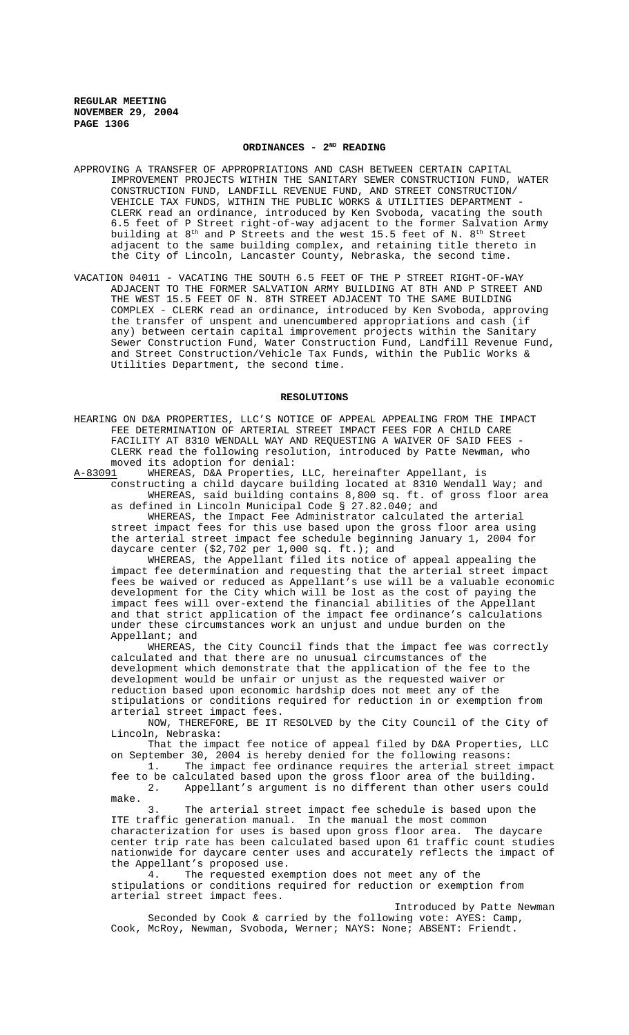# **ORDINANCES - 2ND READING**

APPROVING A TRANSFER OF APPROPRIATIONS AND CASH BETWEEN CERTAIN CAPITAL IMPROVEMENT PROJECTS WITHIN THE SANITARY SEWER CONSTRUCTION FUND, WATER CONSTRUCTION FUND, LANDFILL REVENUE FUND, AND STREET CONSTRUCTION/ VEHICLE TAX FUNDS, WITHIN THE PUBLIC WORKS & UTILITIES DEPARTMENT - CLERK read an ordinance, introduced by Ken Svoboda, vacating the south 6.5 feet of P Street right-of-way adjacent to the former Salvation Army building at 8<sup>th</sup> and P Streets and the west 15.5 feet of N. 8<sup>th</sup> Street adjacent to the same building complex, and retaining title thereto in the City of Lincoln, Lancaster County, Nebraska, the second time.

VACATION 04011 - VACATING THE SOUTH 6.5 FEET OF THE P STREET RIGHT-OF-WAY ADJACENT TO THE FORMER SALVATION ARMY BUILDING AT 8TH AND P STREET AND THE WEST 15.5 FEET OF N. 8TH STREET ADJACENT TO THE SAME BUILDING COMPLEX - CLERK read an ordinance, introduced by Ken Svoboda, approving the transfer of unspent and unencumbered appropriations and cash (if any) between certain capital improvement projects within the Sanitary Sewer Construction Fund, Water Construction Fund, Landfill Revenue Fund, and Street Construction/Vehicle Tax Funds, within the Public Works & Utilities Department, the second time.

#### **RESOLUTIONS**

HEARING ON D&A PROPERTIES, LLC'S NOTICE OF APPEAL APPEALING FROM THE IMPACT FEE DETERMINATION OF ARTERIAL STREET IMPACT FEES FOR A CHILD CARE FACILITY AT 8310 WENDALL WAY AND REQUESTING A WAIVER OF SAID FEES CLERK read the following resolution, introduced by Patte Newman, who moved its adoption for denial:<br>A-83091 WHEREAS, D&A Properties,

WHEREAS, D&A Properties, LLC, hereinafter Appellant, is constructing a child daycare building located at 8310 Wendall Way; and WHEREAS, said building contains 8,800 sq. ft. of gross floor area

as defined in Lincoln Municipal Code § 27.82.040; and WHEREAS, the Impact Fee Administrator calculated the arterial street impact fees for this use based upon the gross floor area using the arterial street impact fee schedule beginning January 1, 2004 for daycare center (\$2,702 per 1,000 sq. ft.); and

WHEREAS, the Appellant filed its notice of appeal appealing the impact fee determination and requesting that the arterial street impact fees be waived or reduced as Appellant's use will be a valuable economic development for the City which will be lost as the cost of paying the impact fees will over-extend the financial abilities of the Appellant and that strict application of the impact fee ordinance's calculations under these circumstances work an unjust and undue burden on the Appellant; and

WHEREAS, the City Council finds that the impact fee was correctly calculated and that there are no unusual circumstances of the development which demonstrate that the application of the fee to the development would be unfair or unjust as the requested waiver or reduction based upon economic hardship does not meet any of the stipulations or conditions required for reduction in or exemption from arterial street impact fees.

NOW, THEREFORE, BE IT RESOLVED by the City Council of the City of Lincoln, Nebraska:

That the impact fee notice of appeal filed by D&A Properties, LLC on September 30, 2004 is hereby denied for the following reasons:

1. The impact fee ordinance requires the arterial street impact fee to be calculated based upon the gross floor area of the building. 2. Appellant's argument is no different than other users could make.

3. The arterial street impact fee schedule is based upon the ITE traffic generation manual. In the manual the most common characterization for uses is based upon gross floor area. The daycare center trip rate has been calculated based upon 61 traffic count studies nationwide for daycare center uses and accurately reflects the impact of the Appellant's proposed use.

4. The requested exemption does not meet any of the stipulations or conditions required for reduction or exemption from arterial street impact fees.

Introduced by Patte Newman Seconded by Cook & carried by the following vote: AYES: Camp, Cook, McRoy, Newman, Svoboda, Werner; NAYS: None; ABSENT: Friendt.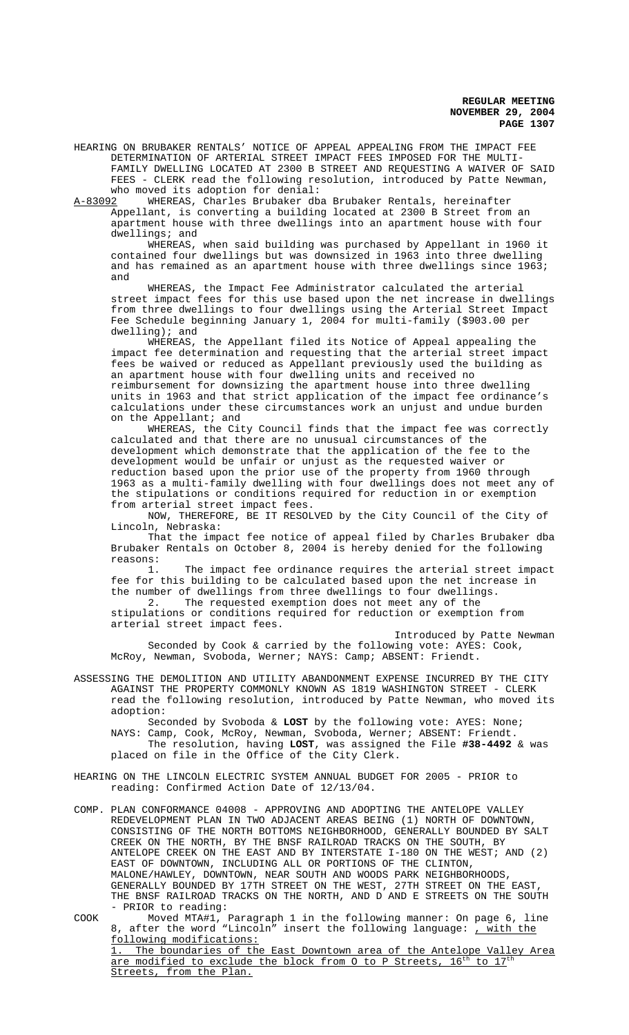HEARING ON BRUBAKER RENTALS' NOTICE OF APPEAL APPEALING FROM THE IMPACT FEE DETERMINATION OF ARTERIAL STREET IMPACT FEES IMPOSED FOR THE MULTI-FAMILY DWELLING LOCATED AT 2300 B STREET AND REQUESTING A WAIVER OF SAID FEES - CLERK read the following resolution, introduced by Patte Newman, who moved its adoption for denial:

A-83092 WHEREAS, Charles Brubaker dba Brubaker Rentals, hereinafter Appellant, is converting a building located at 2300 B Street from an apartment house with three dwellings into an apartment house with four dwellings; and

WHEREAS, when said building was purchased by Appellant in 1960 it contained four dwellings but was downsized in 1963 into three dwelling and has remained as an apartment house with three dwellings since 1963; and

WHEREAS, the Impact Fee Administrator calculated the arterial street impact fees for this use based upon the net increase in dwellings from three dwellings to four dwellings using the Arterial Street Impact Fee Schedule beginning January 1, 2004 for multi-family (\$903.00 per dwelling); and

WHEREAS, the Appellant filed its Notice of Appeal appealing the impact fee determination and requesting that the arterial street impact fees be waived or reduced as Appellant previously used the building as an apartment house with four dwelling units and received no reimbursement for downsizing the apartment house into three dwelling units in 1963 and that strict application of the impact fee ordinance's calculations under these circumstances work an unjust and undue burden on the Appellant; and

WHEREAS, the City Council finds that the impact fee was correctly calculated and that there are no unusual circumstances of the development which demonstrate that the application of the fee to the development would be unfair or unjust as the requested waiver or reduction based upon the prior use of the property from 1960 through 1963 as a multi-family dwelling with four dwellings does not meet any of the stipulations or conditions required for reduction in or exemption from arterial street impact fees.

NOW, THEREFORE, BE IT RESOLVED by the City Council of the City of Lincoln, Nebraska:

That the impact fee notice of appeal filed by Charles Brubaker dba Brubaker Rentals on October 8, 2004 is hereby denied for the following reasons:

1. The impact fee ordinance requires the arterial street impact fee for this building to be calculated based upon the net increase in the number of dwellings from three dwellings to four dwellings. 2. The requested exemption does not meet any of the

stipulations or conditions required for reduction or exemption from arterial street impact fees.

Introduced by Patte Newman Seconded by Cook & carried by the following vote: AYES: Cook, McRoy, Newman, Svoboda, Werner; NAYS: Camp; ABSENT: Friendt.

ASSESSING THE DEMOLITION AND UTILITY ABANDONMENT EXPENSE INCURRED BY THE CITY AGAINST THE PROPERTY COMMONLY KNOWN AS 1819 WASHINGTON STREET - CLERK read the following resolution, introduced by Patte Newman, who moved its adoption:

Seconded by Svoboda & **LOST** by the following vote: AYES: None; NAYS: Camp, Cook, McRoy, Newman, Svoboda, Werner; ABSENT: Friendt. The resolution, having **LOST**, was assigned the File **#38-4492** & was placed on file in the Office of the City Clerk.

- HEARING ON THE LINCOLN ELECTRIC SYSTEM ANNUAL BUDGET FOR 2005 PRIOR to reading: Confirmed Action Date of 12/13/04.
- COMP. PLAN CONFORMANCE 04008 APPROVING AND ADOPTING THE ANTELOPE VALLEY REDEVELOPMENT PLAN IN TWO ADJACENT AREAS BEING (1) NORTH OF DOWNTOWN, CONSISTING OF THE NORTH BOTTOMS NEIGHBORHOOD, GENERALLY BOUNDED BY SALT CREEK ON THE NORTH, BY THE BNSF RAILROAD TRACKS ON THE SOUTH, BY ANTELOPE CREEK ON THE EAST AND BY INTERSTATE I-180 ON THE WEST; AND (2) EAST OF DOWNTOWN, INCLUDING ALL OR PORTIONS OF THE CLINTON, MALONE/HAWLEY, DOWNTOWN, NEAR SOUTH AND WOODS PARK NEIGHBORHOODS, GENERALLY BOUNDED BY 17TH STREET ON THE WEST, 27TH STREET ON THE EAST, THE BNSF RAILROAD TRACKS ON THE NORTH, AND D AND E STREETS ON THE SOUTH - PRIOR to reading:
- COOK Moved MTA#1, Paragraph 1 in the following manner: On page 6, line 8, after the word "Lincoln" insert the following language: , with the following modifications: 1. The boundaries of the East Downtown area of the Antelope Valley Area are modified to exclude the block from O to P Streets, 16<sup>th</sup> to 17<sup>th</sup> Streets, from the Plan.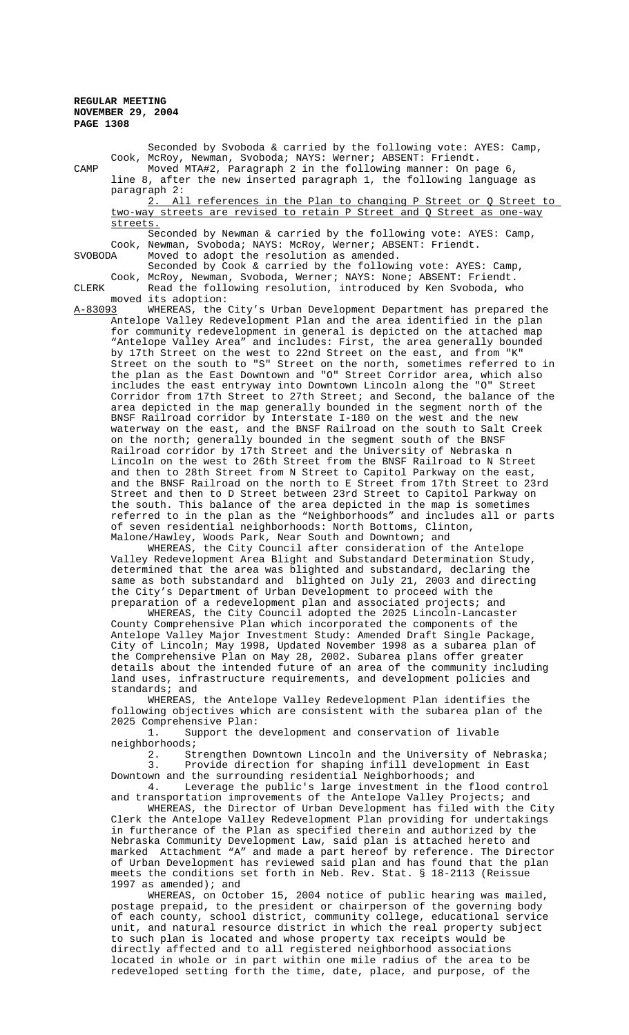Seconded by Svoboda & carried by the following vote: AYES: Camp, Cook, McRoy, Newman, Svoboda; NAYS: Werner; ABSENT: Friendt. CAMP Moved MTA#2, Paragraph 2 in the following manner: On page 6, line 8, after the new inserted paragraph 1, the following language as paragraph 2:<br>2. All references in the Plan to changing P Street or Q Street to two-way streets are revised to retain P Street and Q Street as one-way streets. Seconded by Newman & carried by the following vote: AYES: Camp, Cook, Newman, Svoboda; NAYS: McRoy, Werner; ABSENT: Friendt.<br>SVOBODA Moved to adopt the resolution as amended. Moved to adopt the resolution as amended. Seconded by Cook & carried by the following vote: AYES: Camp, Cook, McRoy, Newman, Svoboda, Werner; NAYS: None; ABSENT: Friendt. CLERK Read the following resolution, introduced by Ken Svoboda, who moved its adoption: A-83093 WHEREAS, the City's Urban Development Department has prepared the Antelope Valley Redevelopment Plan and the area identified in the plan for community redevelopment in general is depicted on the attached map "Antelope Valley Area" and includes: First, the area generally bounded by 17th Street on the west to 22nd Street on the east, and from "K" Street on the south to "S" Street on the north, sometimes referred to in the plan as the East Downtown and "O" Street Corridor area, which also includes the east entryway into Downtown Lincoln along the "O" Street Corridor from 17th Street to 27th Street; and Second, the balance of the area depicted in the map generally bounded in the segment north of the BNSF Railroad corridor by Interstate I-180 on the west and the new waterway on the east, and the BNSF Railroad on the south to Salt Creek on the north; generally bounded in the segment south of the BNSF Railroad corridor by 17th Street and the University of Nebraska n Lincoln on the west to 26th Street from the BNSF Railroad to N Street and then to 28th Street from N Street to Capitol Parkway on the east, and the BNSF Railroad on the north to E Street from 17th Street to 23rd Street and then to D Street between 23rd Street to Capitol Parkway on the south. This balance of the area depicted in the map is sometimes referred to in the plan as the "Neighborhoods" and includes all or parts of seven residential neighborhoods: North Bottoms, Clinton, Malone/Hawley, Woods Park, Near South and Downtown; and

WHEREAS, the City Council after consideration of the Antelope Valley Redevelopment Area Blight and Substandard Determination Study, determined that the area was blighted and substandard, declaring the same as both substandard and blighted on July 21, 2003 and directing the City's Department of Urban Development to proceed with the preparation of a redevelopment plan and associated projects; and

WHEREAS, the City Council adopted the 2025 Lincoln-Lancaster County Comprehensive Plan which incorporated the components of the Antelope Valley Major Investment Study: Amended Draft Single Package, City of Lincoln; May 1998, Updated November 1998 as a subarea plan of the Comprehensive Plan on May 28, 2002. Subarea plans offer greater details about the intended future of an area of the community including land uses, infrastructure requirements, and development policies and standards; and

WHEREAS, the Antelope Valley Redevelopment Plan identifies the following objectives which are consistent with the subarea plan of the 2025 Comprehensive Plan:

1. Support the development and conservation of livable neighborhoods;

2. Strengthen Downtown Lincoln and the University of Nebraska; 3. Provide direction for shaping infill development in East Downtown and the surrounding residential Neighborhoods; and

4. Leverage the public's large investment in the flood control and transportation improvements of the Antelope Valley Projects; and

WHEREAS, the Director of Urban Development has filed with the City Clerk the Antelope Valley Redevelopment Plan providing for undertakings in furtherance of the Plan as specified therein and authorized by the Nebraska Community Development Law, said plan is attached hereto and marked Attachment "A" and made a part hereof by reference. The Director of Urban Development has reviewed said plan and has found that the plan meets the conditions set forth in Neb. Rev. Stat. § 18-2113 (Reissue 1997 as amended); and

WHEREAS, on October 15, 2004 notice of public hearing was mailed, postage prepaid, to the president or chairperson of the governing body of each county, school district, community college, educational service unit, and natural resource district in which the real property subject to such plan is located and whose property tax receipts would be directly affected and to all registered neighborhood associations located in whole or in part within one mile radius of the area to be redeveloped setting forth the time, date, place, and purpose, of the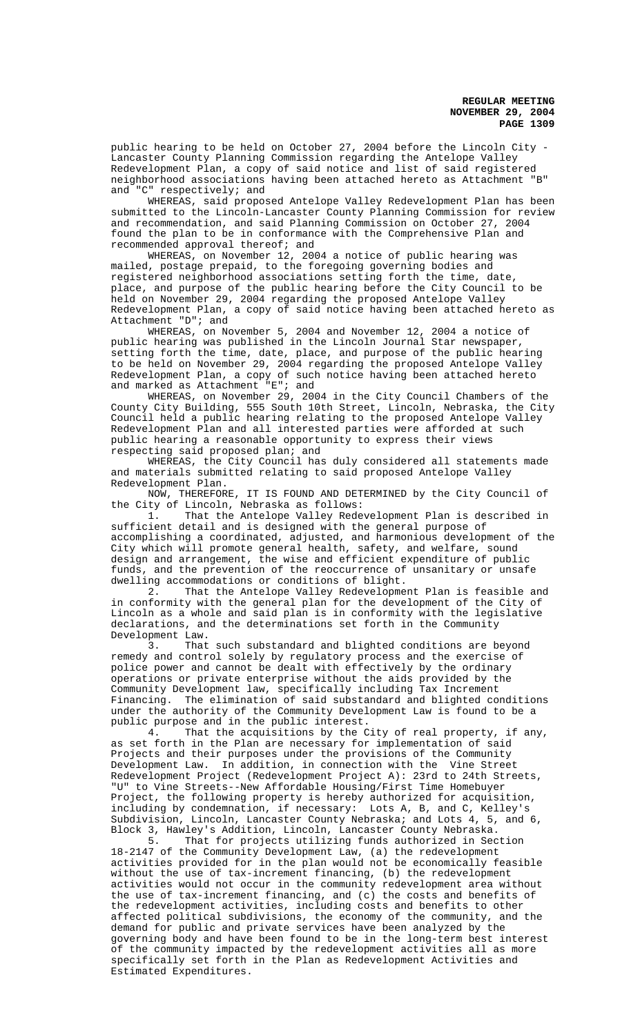public hearing to be held on October 27, 2004 before the Lincoln City - Lancaster County Planning Commission regarding the Antelope Valley Redevelopment Plan, a copy of said notice and list of said registered neighborhood associations having been attached hereto as Attachment "B" and "C" respectively; and

WHEREAS, said proposed Antelope Valley Redevelopment Plan has been submitted to the Lincoln-Lancaster County Planning Commission for review and recommendation, and said Planning Commission on October 27, 2004 found the plan to be in conformance with the Comprehensive Plan and recommended approval thereof; and

WHEREAS, on November 12, 2004 a notice of public hearing was mailed, postage prepaid, to the foregoing governing bodies and registered neighborhood associations setting forth the time, date, place, and purpose of the public hearing before the City Council to be held on November 29, 2004 regarding the proposed Antelope Valley Redevelopment Plan, a copy of said notice having been attached hereto as Attachment "D"; and

WHEREAS, on November 5, 2004 and November 12, 2004 a notice of public hearing was published in the Lincoln Journal Star newspaper, setting forth the time, date, place, and purpose of the public hearing to be held on November 29, 2004 regarding the proposed Antelope Valley Redevelopment Plan, a copy of such notice having been attached hereto and marked as Attachment "E"; and

WHEREAS, on November 29, 2004 in the City Council Chambers of the County City Building, 555 South 10th Street, Lincoln, Nebraska, the City Council held a public hearing relating to the proposed Antelope Valley Redevelopment Plan and all interested parties were afforded at such public hearing a reasonable opportunity to express their views respecting said proposed plan; and

WHEREAS, the City Council has duly considered all statements made and materials submitted relating to said proposed Antelope Valley Redevelopment Plan.

NOW, THEREFORE, IT IS FOUND AND DETERMINED by the City Council of the City of Lincoln, Nebraska as follows:

1. That the Antelope Valley Redevelopment Plan is described in sufficient detail and is designed with the general purpose of accomplishing a coordinated, adjusted, and harmonious development of the City which will promote general health, safety, and welfare, sound design and arrangement, the wise and efficient expenditure of public funds, and the prevention of the reoccurrence of unsanitary or unsafe dwelling accommodations or conditions of blight.<br>2. That the Antelope Valley Redevelopme

That the Antelope Valley Redevelopment Plan is feasible and in conformity with the general plan for the development of the City of Lincoln as a whole and said plan is in conformity with the legislative declarations, and the determinations set forth in the Community Development Law.

3. That such substandard and blighted conditions are beyond remedy and control solely by regulatory process and the exercise of police power and cannot be dealt with effectively by the ordinary operations or private enterprise without the aids provided by the Community Development law, specifically including Tax Increment Financing. The elimination of said substandard and blighted conditions under the authority of the Community Development Law is found to be a public purpose and in the public interest.

4. That the acquisitions by the City of real property, if any, as set forth in the Plan are necessary for implementation of said Projects and their purposes under the provisions of the Community Development Law. In addition, in connection with the Vine Street Redevelopment Project (Redevelopment Project A): 23rd to 24th Streets, "U" to Vine Streets--New Affordable Housing/First Time Homebuyer Project, the following property is hereby authorized for acquisition, including by condemnation, if necessary: Lots A, B, and C, Kelley's Subdivision, Lincoln, Lancaster County Nebraska; and Lots 4, 5, and 6, Block 3, Hawley's Addition, Lincoln, Lancaster County Nebraska.

5. That for projects utilizing funds authorized in Section 18-2147 of the Community Development Law, (a) the redevelopment activities provided for in the plan would not be economically feasible without the use of tax-increment financing, (b) the redevelopment activities would not occur in the community redevelopment area without the use of tax-increment financing, and (c) the costs and benefits of the redevelopment activities, including costs and benefits to other affected political subdivisions, the economy of the community, and the demand for public and private services have been analyzed by the governing body and have been found to be in the long-term best interest of the community impacted by the redevelopment activities all as more specifically set forth in the Plan as Redevelopment Activities and Estimated Expenditures.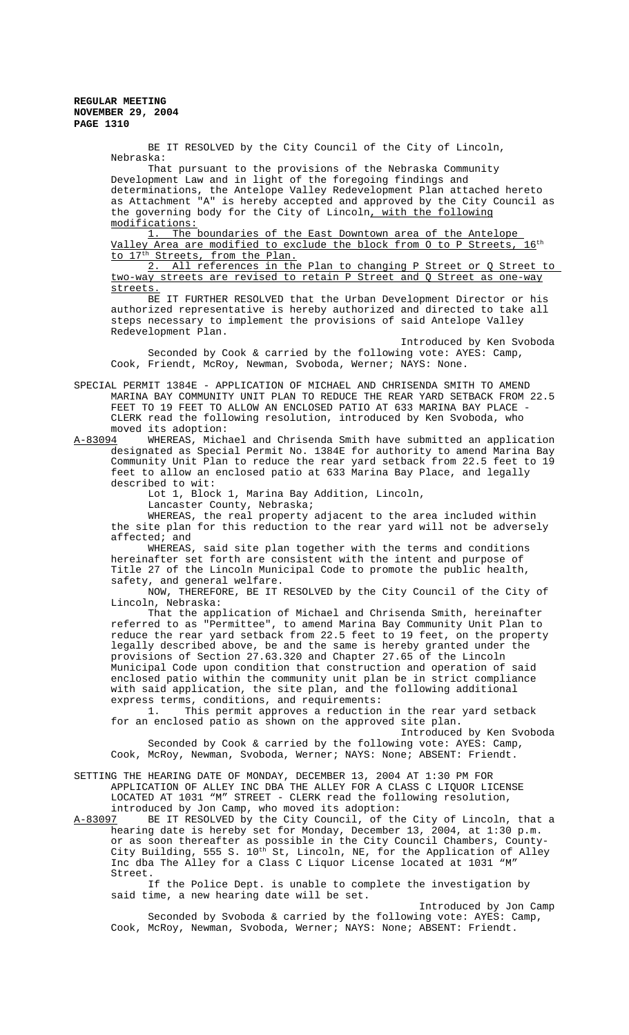> BE IT RESOLVED by the City Council of the City of Lincoln, Nebraska:

That pursuant to the provisions of the Nebraska Community Development Law and in light of the foregoing findings and determinations, the Antelope Valley Redevelopment Plan attached hereto as Attachment "A" is hereby accepted and approved by the City Council as the governing body for the City of Lincoln, with the following modifications:

1. The boundaries of the East Downtown area of the Antelope Valley Area are modified to exclude the block from 0 to P Streets, 16<sup>th</sup> to 17<sup>th</sup> Streets, from the Plan.

2. All references in the Plan to changing P Street or Q Street to two-way streets are revised to retain P Street and Q Street as one-way streets.

BE IT FURTHER RESOLVED that the Urban Development Director or his authorized representative is hereby authorized and directed to take all steps necessary to implement the provisions of said Antelope Valley Redevelopment Plan.

Introduced by Ken Svoboda Seconded by Cook & carried by the following vote: AYES: Camp, Cook, Friendt, McRoy, Newman, Svoboda, Werner; NAYS: None.

SPECIAL PERMIT 1384E - APPLICATION OF MICHAEL AND CHRISENDA SMITH TO AMEND MARINA BAY COMMUNITY UNIT PLAN TO REDUCE THE REAR YARD SETBACK FROM 22.5 FEET TO 19 FEET TO ALLOW AN ENCLOSED PATIO AT 633 MARINA BAY PLACE -CLERK read the following resolution, introduced by Ken Svoboda, who moved its adoption:

A-83094 WHEREAS, Michael and Chrisenda Smith have submitted an application designated as Special Permit No. 1384E for authority to amend Marina Bay Community Unit Plan to reduce the rear yard setback from 22.5 feet to 19 feet to allow an enclosed patio at 633 Marina Bay Place, and legally described to wit:

Lot 1, Block 1, Marina Bay Addition, Lincoln,

Lancaster County, Nebraska;

WHEREAS, the real property adjacent to the area included within the site plan for this reduction to the rear yard will not be adversely affected; and

WHEREAS, said site plan together with the terms and conditions hereinafter set forth are consistent with the intent and purpose of Title 27 of the Lincoln Municipal Code to promote the public health, safety, and general welfare.

NOW, THEREFORE, BE IT RESOLVED by the City Council of the City of Lincoln, Nebraska:

That the application of Michael and Chrisenda Smith, hereinafter referred to as "Permittee", to amend Marina Bay Community Unit Plan to reduce the rear yard setback from 22.5 feet to 19 feet, on the property legally described above, be and the same is hereby granted under the provisions of Section 27.63.320 and Chapter 27.65 of the Lincoln Municipal Code upon condition that construction and operation of said enclosed patio within the community unit plan be in strict compliance with said application, the site plan, and the following additional express terms, conditions, and requirements:

1. This permit approves a reduction in the rear yard setback for an enclosed patio as shown on the approved site plan.

Introduced by Ken Svoboda Seconded by Cook & carried by the following vote: AYES: Camp, Cook, McRoy, Newman, Svoboda, Werner; NAYS: None; ABSENT: Friendt.

### SETTING THE HEARING DATE OF MONDAY, DECEMBER 13, 2004 AT 1:30 PM FOR APPLICATION OF ALLEY INC DBA THE ALLEY FOR A CLASS C LIQUOR LICENSE LOCATED AT 1031 "M" STREET - CLERK read the following resolution, introduced by Jon Camp, who moved its adoption:

A-83097 BE IT RESOLVED by the City Council, of the City of Lincoln, that a hearing date is hereby set for Monday, December 13, 2004, at 1:30 p.m. or as soon thereafter as possible in the City Council Chambers, County-City Building, 555 S. 10<sup>th</sup> St, Lincoln, NE, for the Application of Alley Inc dba The Alley for a Class C Liquor License located at 1031 "M" Street.

If the Police Dept. is unable to complete the investigation by said time, a new hearing date will be set.

Introduced by Jon Camp Seconded by Svoboda & carried by the following vote: AYES: Camp, Cook, McRoy, Newman, Svoboda, Werner; NAYS: None; ABSENT: Friendt.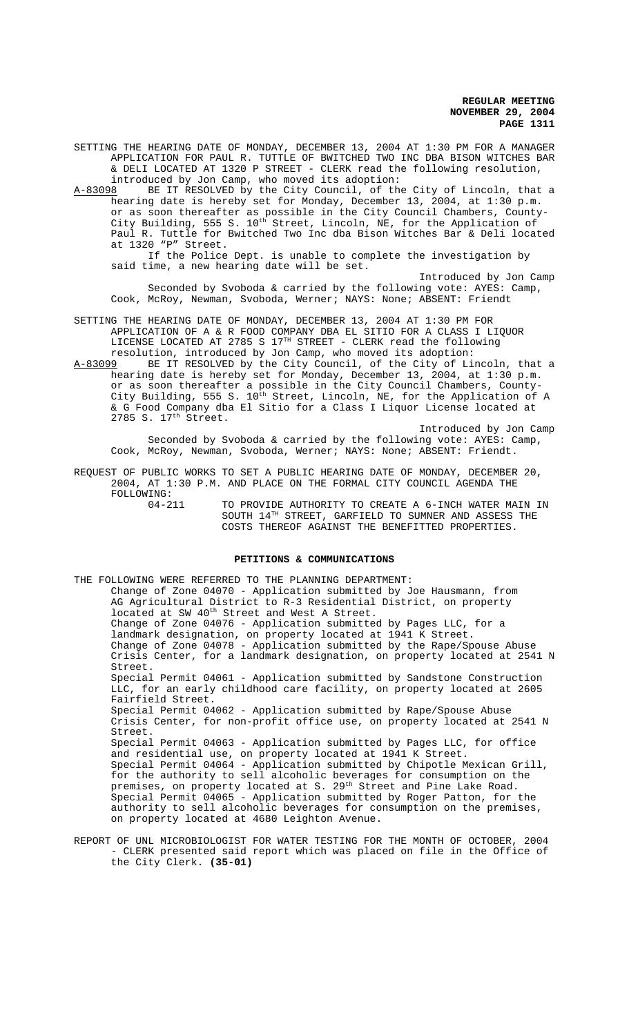Introduced by Jon Camp

SETTING THE HEARING DATE OF MONDAY, DECEMBER 13, 2004 AT 1:30 PM FOR A MANAGER APPLICATION FOR PAUL R. TUTTLE OF BWITCHED TWO INC DBA BISON WITCHES BAR & DELI LOCATED AT 1320 P STREET - CLERK read the following resolution, introduced by Jon Camp, who moved its adoption:

A-83098 BE IT RESOLVED by the City Council, of the City of Lincoln, that a hearing date is hereby set for Monday, December 13, 2004, at 1:30 p.m. or as soon thereafter as possible in the City Council Chambers, County-City Building, 555 S.  $10^{\text{th}}$  Street, Lincoln, NE, for the Application of Paul R. Tuttle for Bwitched Two Inc dba Bison Witches Bar & Deli located at 1320 "P" Street.

If the Police Dept. is unable to complete the investigation by said time, a new hearing date will be set.

Introduced by Jon Camp Seconded by Svoboda & carried by the following vote: AYES: Camp, Cook, McRoy, Newman, Svoboda, Werner; NAYS: None; ABSENT: Friendt

SETTING THE HEARING DATE OF MONDAY, DECEMBER 13, 2004 AT 1:30 PM FOR APPLICATION OF A & R FOOD COMPANY DBA EL SITIO FOR A CLASS I LIQUOR LICENSE LOCATED AT 2785 S  $17<sup>TH</sup>$  STREET - CLERK read the following resolution, introduced by Jon Camp, who moved its adoption:

A-83099 BE IT RESOLVED by the City Council, of the City of Lincoln, that a hearing date is hereby set for Monday, December 13, 2004, at 1:30 p.m. or as soon thereafter a possible in the City Council Chambers, County-City Building, 555 S.  $10^{\bar{t}h}$  Street, Lincoln, NE, for the Application of A & G Food Company dba El Sitio for a Class I Liquor License located at  $2785$  S.  $17<sup>th</sup>$  Street.

Seconded by Svoboda & carried by the following vote: AYES: Camp, Cook, McRoy, Newman, Svoboda, Werner; NAYS: None; ABSENT: Friendt.

REQUEST OF PUBLIC WORKS TO SET A PUBLIC HEARING DATE OF MONDAY, DECEMBER 20, 2004, AT 1:30 P.M. AND PLACE ON THE FORMAL CITY COUNCIL AGENDA THE

FOLLOWING:<br>04-211

04-211 TO PROVIDE AUTHORITY TO CREATE A 6-INCH WATER MAIN IN SOUTH 14TH STREET, GARFIELD TO SUMNER AND ASSESS THE COSTS THEREOF AGAINST THE BENEFITTED PROPERTIES.

## **PETITIONS & COMMUNICATIONS**

THE FOLLOWING WERE REFERRED TO THE PLANNING DEPARTMENT: Change of Zone 04070 - Application submitted by Joe Hausmann, from AG Agricultural District to R-3 Residential District, on property located at SW 40<sup>th</sup> Street and West A Street. Change of Zone 04076 - Application submitted by Pages LLC, for a landmark designation, on property located at 1941 K Street. Change of Zone 04078 - Application submitted by the Rape/Spouse Abuse Crisis Center, for a landmark designation, on property located at 2541 N Street. Special Permit 04061 - Application submitted by Sandstone Construction LLC, for an early childhood care facility, on property located at 2605 Fairfield Street. Special Permit 04062 - Application submitted by Rape/Spouse Abuse Crisis Center, for non-profit office use, on property located at 2541 N Street. Special Permit 04063 - Application submitted by Pages LLC, for office and residential use, on property located at 1941 K Street. Special Permit 04064 - Application submitted by Chipotle Mexican Grill, for the authority to sell alcoholic beverages for consumption on the premises, on property located at S. 29<sup>th</sup> Street and Pine Lake Road. Special Permit 04065 - Application submitted by Roger Patton, for the authority to sell alcoholic beverages for consumption on the premises, on property located at 4680 Leighton Avenue.

REPORT OF UNL MICROBIOLOGIST FOR WATER TESTING FOR THE MONTH OF OCTOBER, 2004 - CLERK presented said report which was placed on file in the Office of the City Clerk. **(35-01)**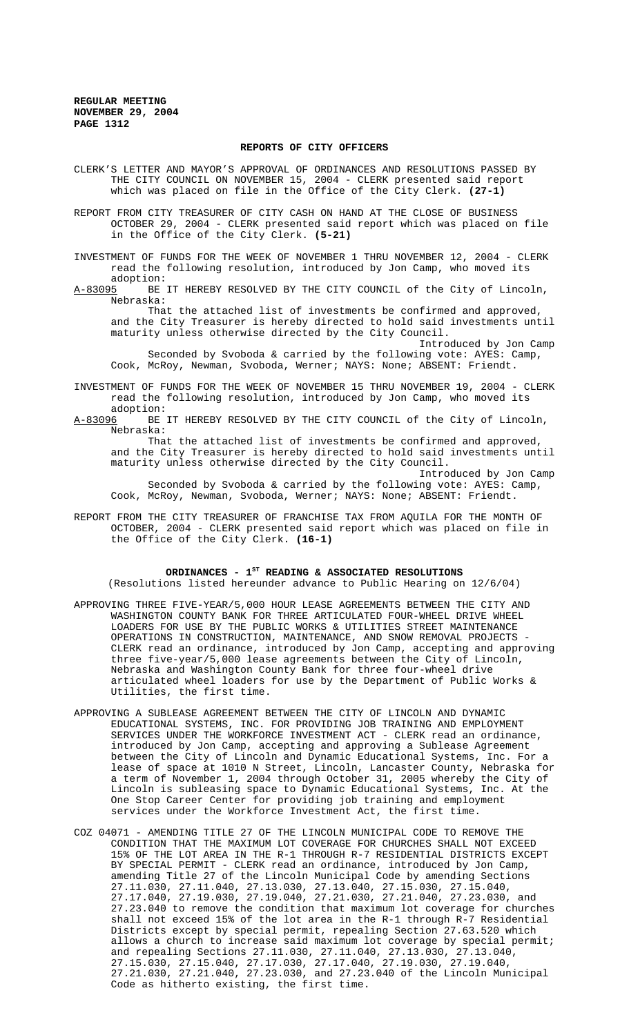#### **REPORTS OF CITY OFFICERS**

CLERK'S LETTER AND MAYOR'S APPROVAL OF ORDINANCES AND RESOLUTIONS PASSED BY THE CITY COUNCIL ON NOVEMBER 15, 2004 - CLERK presented said report which was placed on file in the Office of the City Clerk. **(27-1)**

REPORT FROM CITY TREASURER OF CITY CASH ON HAND AT THE CLOSE OF BUSINESS OCTOBER 29, 2004 - CLERK presented said report which was placed on file in the Office of the City Clerk. **(5-21)**

INVESTMENT OF FUNDS FOR THE WEEK OF NOVEMBER 1 THRU NOVEMBER 12, 2004 - CLERK read the following resolution, introduced by Jon Camp, who moved its

adoption:<br>A-83095 BE BE IT HEREBY RESOLVED BY THE CITY COUNCIL of the City of Lincoln, Nebraska:

That the attached list of investments be confirmed and approved, and the City Treasurer is hereby directed to hold said investments until maturity unless otherwise directed by the City Council.

Introduced by Jon Camp Seconded by Svoboda & carried by the following vote: AYES: Camp, Cook, McRoy, Newman, Svoboda, Werner; NAYS: None; ABSENT: Friendt.

INVESTMENT OF FUNDS FOR THE WEEK OF NOVEMBER 15 THRU NOVEMBER 19, 2004 - CLERK read the following resolution, introduced by Jon Camp, who moved its

adoption:<br><u>A-83096</u> BE BE IT HEREBY RESOLVED BY THE CITY COUNCIL of the City of Lincoln, Nebraska:

That the attached list of investments be confirmed and approved, and the City Treasurer is hereby directed to hold said investments until maturity unless otherwise directed by the City Council.

Introduced by Jon Camp Seconded by Svoboda & carried by the following vote: AYES: Camp, Cook, McRoy, Newman, Svoboda, Werner; NAYS: None; ABSENT: Friendt.

REPORT FROM THE CITY TREASURER OF FRANCHISE TAX FROM AQUILA FOR THE MONTH OF OCTOBER, 2004 - CLERK presented said report which was placed on file in the Office of the City Clerk. **(16-1)**

### ORDINANCES - 1<sup>st</sup> READING & ASSOCIATED RESOLUTIONS

(Resolutions listed hereunder advance to Public Hearing on 12/6/04)

- APPROVING THREE FIVE-YEAR/5,000 HOUR LEASE AGREEMENTS BETWEEN THE CITY AND WASHINGTON COUNTY BANK FOR THREE ARTICULATED FOUR-WHEEL DRIVE WHEEL LOADERS FOR USE BY THE PUBLIC WORKS & UTILITIES STREET MAINTENANCE OPERATIONS IN CONSTRUCTION, MAINTENANCE, AND SNOW REMOVAL PROJECTS - CLERK read an ordinance, introduced by Jon Camp, accepting and approving three five-year/5,000 lease agreements between the City of Lincoln, Nebraska and Washington County Bank for three four-wheel drive articulated wheel loaders for use by the Department of Public Works & Utilities, the first time.
- APPROVING A SUBLEASE AGREEMENT BETWEEN THE CITY OF LINCOLN AND DYNAMIC EDUCATIONAL SYSTEMS, INC. FOR PROVIDING JOB TRAINING AND EMPLOYMENT SERVICES UNDER THE WORKFORCE INVESTMENT ACT - CLERK read an ordinance, introduced by Jon Camp, accepting and approving a Sublease Agreement between the City of Lincoln and Dynamic Educational Systems, Inc. For a lease of space at 1010 N Street, Lincoln, Lancaster County, Nebraska for a term of November 1, 2004 through October 31, 2005 whereby the City of Lincoln is subleasing space to Dynamic Educational Systems, Inc. At the One Stop Career Center for providing job training and employment services under the Workforce Investment Act, the first time.
- COZ 04071 AMENDING TITLE 27 OF THE LINCOLN MUNICIPAL CODE TO REMOVE THE CONDITION THAT THE MAXIMUM LOT COVERAGE FOR CHURCHES SHALL NOT EXCEED 15% OF THE LOT AREA IN THE R-1 THROUGH R-7 RESIDENTIAL DISTRICTS EXCEPT BY SPECIAL PERMIT - CLERK read an ordinance, introduced by Jon Camp, amending Title 27 of the Lincoln Municipal Code by amending Sections 27.11.030, 27.11.040, 27.13.030, 27.13.040, 27.15.030, 27.15.040, 27.17.040, 27.19.030, 27.19.040, 27.21.030, 27.21.040, 27.23.030, and 27.23.040 to remove the condition that maximum lot coverage for churches shall not exceed 15% of the lot area in the R-1 through R-7 Residential Districts except by special permit, repealing Section 27.63.520 which allows a church to increase said maximum lot coverage by special permit; and repealing Sections 27.11.030, 27.11.040, 27.13.030, 27.13.040, 27.15.030, 27.15.040, 27.17.030, 27.17.040, 27.19.030, 27.19.040, 27.21.030, 27.21.040, 27.23.030, and 27.23.040 of the Lincoln Municipal Code as hitherto existing, the first time.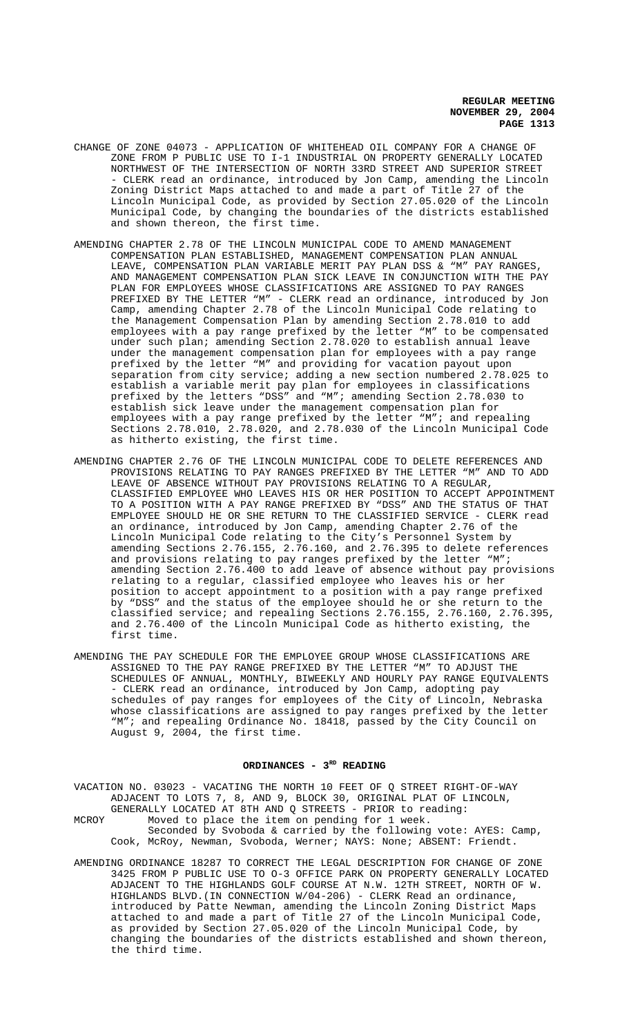- CHANGE OF ZONE 04073 APPLICATION OF WHITEHEAD OIL COMPANY FOR A CHANGE OF ZONE FROM P PUBLIC USE TO I-1 INDUSTRIAL ON PROPERTY GENERALLY LOCATED NORTHWEST OF THE INTERSECTION OF NORTH 33RD STREET AND SUPERIOR STREET - CLERK read an ordinance, introduced by Jon Camp, amending the Lincoln Zoning District Maps attached to and made a part of Title 27 of the Lincoln Municipal Code, as provided by Section 27.05.020 of the Lincoln Municipal Code, by changing the boundaries of the districts established and shown thereon, the first time.
- AMENDING CHAPTER 2.78 OF THE LINCOLN MUNICIPAL CODE TO AMEND MANAGEMENT COMPENSATION PLAN ESTABLISHED, MANAGEMENT COMPENSATION PLAN ANNUAL LEAVE, COMPENSATION PLAN VARIABLE MERIT PAY PLAN DSS & "M" PAY RANGES, AND MANAGEMENT COMPENSATION PLAN SICK LEAVE IN CONJUNCTION WITH THE PAY PLAN FOR EMPLOYEES WHOSE CLASSIFICATIONS ARE ASSIGNED TO PAY RANGES PREFIXED BY THE LETTER "M" - CLERK read an ordinance, introduced by Jon Camp, amending Chapter 2.78 of the Lincoln Municipal Code relating to the Management Compensation Plan by amending Section 2.78.010 to add employees with a pay range prefixed by the letter "M" to be compensated under such plan; amending Section 2.78.020 to establish annual leave under the management compensation plan for employees with a pay range prefixed by the letter "M" and providing for vacation payout upon separation from city service; adding a new section numbered 2.78.025 to establish a variable merit pay plan for employees in classifications prefixed by the letters "DSS" and "M"; amending Section 2.78.030 to establish sick leave under the management compensation plan for employees with a pay range prefixed by the letter "M"; and repealing Sections 2.78.010, 2.78.020, and 2.78.030 of the Lincoln Municipal Code as hitherto existing, the first time.
- AMENDING CHAPTER 2.76 OF THE LINCOLN MUNICIPAL CODE TO DELETE REFERENCES AND PROVISIONS RELATING TO PAY RANGES PREFIXED BY THE LETTER "M" AND TO ADD LEAVE OF ABSENCE WITHOUT PAY PROVISIONS RELATING TO A REGULAR, CLASSIFIED EMPLOYEE WHO LEAVES HIS OR HER POSITION TO ACCEPT APPOINTMENT TO A POSITION WITH A PAY RANGE PREFIXED BY "DSS" AND THE STATUS OF THAT EMPLOYEE SHOULD HE OR SHE RETURN TO THE CLASSIFIED SERVICE - CLERK read an ordinance, introduced by Jon Camp, amending Chapter 2.76 of the Lincoln Municipal Code relating to the City's Personnel System by amending Sections 2.76.155, 2.76.160, and 2.76.395 to delete references and provisions relating to pay ranges prefixed by the letter "M"; amending Section 2.76.400 to add leave of absence without pay provisions relating to a regular, classified employee who leaves his or her position to accept appointment to a position with a pay range prefixed by "DSS" and the status of the employee should he or she return to the classified service; and repealing Sections 2.76.155, 2.76.160, 2.76.395, and 2.76.400 of the Lincoln Municipal Code as hitherto existing, the first time.
- AMENDING THE PAY SCHEDULE FOR THE EMPLOYEE GROUP WHOSE CLASSIFICATIONS ARE ASSIGNED TO THE PAY RANGE PREFIXED BY THE LETTER "M" TO ADJUST THE SCHEDULES OF ANNUAL, MONTHLY, BIWEEKLY AND HOURLY PAY RANGE EQUIVALENTS - CLERK read an ordinance, introduced by Jon Camp, adopting pay schedules of pay ranges for employees of the City of Lincoln, Nebraska whose classifications are assigned to pay ranges prefixed by the letter "M"; and repealing Ordinance No. 18418, passed by the City Council on August 9, 2004, the first time.

### ORDINANCES - 3<sup>RD</sup> READING

VACATION NO. 03023 - VACATING THE NORTH 10 FEET OF Q STREET RIGHT-OF-WAY ADJACENT TO LOTS 7, 8, AND 9, BLOCK 30, ORIGINAL PLAT OF LINCOLN, GENERALLY LOCATED AT 8TH AND Q STREETS - PRIOR to reading: MCROY Moved to place the item on pending for 1 week. Seconded by Svoboda & carried by the following vote: AYES: Camp, Cook, McRoy, Newman, Svoboda, Werner; NAYS: None; ABSENT: Friendt.

AMENDING ORDINANCE 18287 TO CORRECT THE LEGAL DESCRIPTION FOR CHANGE OF ZONE 3425 FROM P PUBLIC USE TO O-3 OFFICE PARK ON PROPERTY GENERALLY LOCATED ADJACENT TO THE HIGHLANDS GOLF COURSE AT N.W. 12TH STREET, NORTH OF W. HIGHLANDS BLVD.(IN CONNECTION W/04-206) - CLERK Read an ordinance, introduced by Patte Newman, amending the Lincoln Zoning District Maps attached to and made a part of Title 27 of the Lincoln Municipal Code, as provided by Section 27.05.020 of the Lincoln Municipal Code, by changing the boundaries of the districts established and shown thereon, the third time.